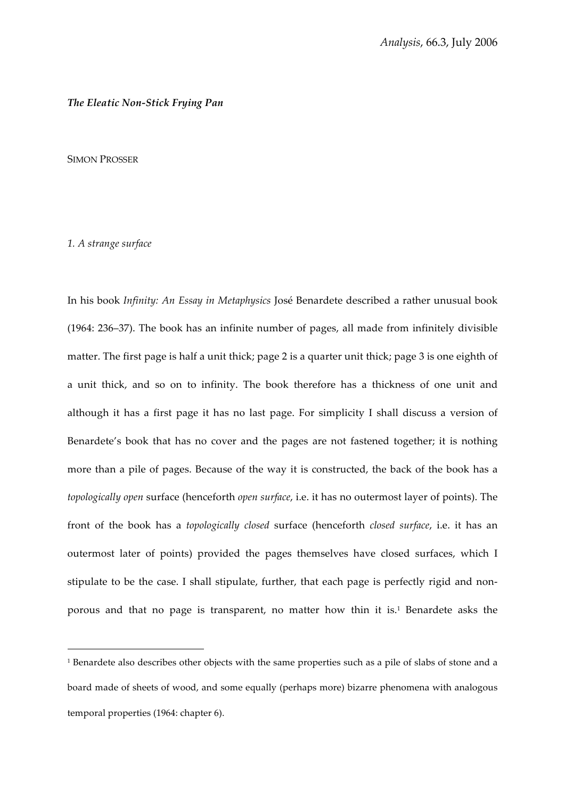## *The Eleatic Non-Stick Frying Pan*

#### SIMON PROSSER

# *1. A strange surface*

 $\overline{a}$ 

In his book *Infinity: An Essay in Metaphysics* José Benardete described a rather unusual book (1964: 236–37). The book has an infinite number of pages, all made from infinitely divisible matter. The first page is half a unit thick; page 2 is a quarter unit thick; page 3 is one eighth of a unit thick, and so on to infinity. The book therefore has a thickness of one unit and although it has a first page it has no last page. For simplicity I shall discuss a version of Benardete's book that has no cover and the pages are not fastened together; it is nothing more than a pile of pages. Because of the way it is constructed, the back of the book has a *topologically open* surface (henceforth *open surface*, i.e. it has no outermost layer of points). The front of the book has a *topologically closed* surface (henceforth *closed surface*, i.e. it has an outermost later of points) provided the pages themselves have closed surfaces, which I stipulate to be the case. I shall stipulate, further, that each page is perfectly rigid and nonporous and that no page is transparent, no matter how thin it is.1 Benardete asks the

<sup>1</sup> Benardete also describes other objects with the same properties such as a pile of slabs of stone and a board made of sheets of wood, and some equally (perhaps more) bizarre phenomena with analogous temporal properties (1964: chapter 6).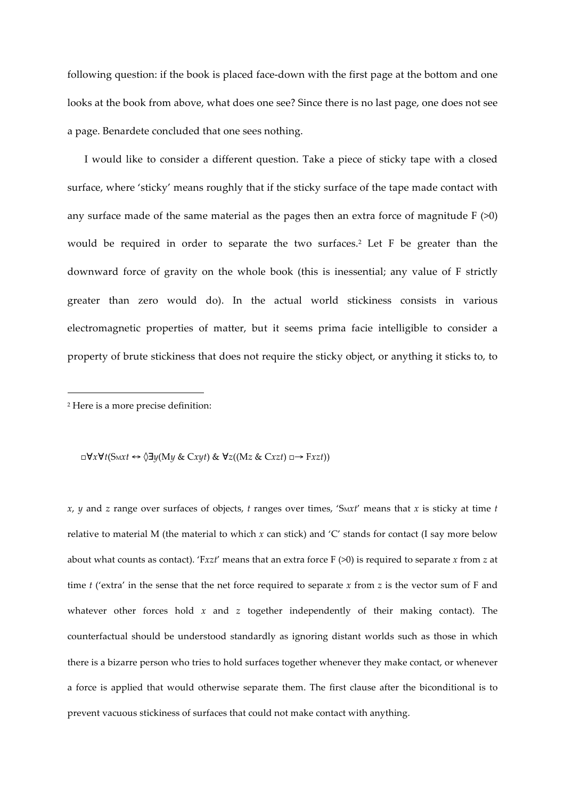following question: if the book is placed face-down with the first page at the bottom and one looks at the book from above, what does one see? Since there is no last page, one does not see a page. Benardete concluded that one sees nothing.

I would like to consider a different question. Take a piece of sticky tape with a closed surface, where 'sticky' means roughly that if the sticky surface of the tape made contact with any surface made of the same material as the pages then an extra force of magnitude  $F$  ( $>0$ ) would be required in order to separate the two surfaces.2 Let F be greater than the downward force of gravity on the whole book (this is inessential; any value of F strictly greater than zero would do). In the actual world stickiness consists in various electromagnetic properties of matter, but it seems prima facie intelligible to consider a property of brute stickiness that does not require the sticky object, or anything it sticks to, to

2 Here is a more precise definition:

$$
\Box \forall x \forall t (\mathrm{S} x t \leftrightarrow \Diamond \exists y (\mathrm{M} y \& \mathrm{C} x y t) \& \forall z ((\mathrm{M} z \& \mathrm{C} x z t) \Box \rightarrow \mathrm{F} x z t))
$$

 $x$ ,  $y$  and  $z$  range over surfaces of objects,  $t$  ranges over times, 'S $M$ ' means that  $x$  is sticky at time  $t$ relative to material M (the material to which *x* can stick) and 'C' stands for contact (I say more below about what counts as contact). 'F*xzt*' means that an extra force F (>0) is required to separate *x* from *z* at time *t* ('extra' in the sense that the net force required to separate *x* from *z* is the vector sum of F and whatever other forces hold *x* and *z* together independently of their making contact). The counterfactual should be understood standardly as ignoring distant worlds such as those in which there is a bizarre person who tries to hold surfaces together whenever they make contact, or whenever a force is applied that would otherwise separate them. The first clause after the biconditional is to prevent vacuous stickiness of surfaces that could not make contact with anything.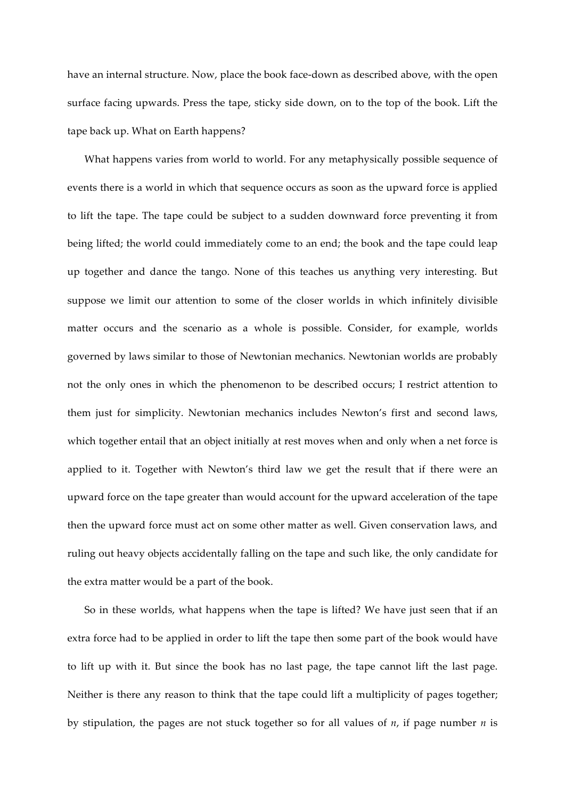have an internal structure. Now, place the book face-down as described above, with the open surface facing upwards. Press the tape, sticky side down, on to the top of the book. Lift the tape back up. What on Earth happens?

What happens varies from world to world. For any metaphysically possible sequence of events there is a world in which that sequence occurs as soon as the upward force is applied to lift the tape. The tape could be subject to a sudden downward force preventing it from being lifted; the world could immediately come to an end; the book and the tape could leap up together and dance the tango. None of this teaches us anything very interesting. But suppose we limit our attention to some of the closer worlds in which infinitely divisible matter occurs and the scenario as a whole is possible. Consider, for example, worlds governed by laws similar to those of Newtonian mechanics. Newtonian worlds are probably not the only ones in which the phenomenon to be described occurs; I restrict attention to them just for simplicity. Newtonian mechanics includes Newton's first and second laws, which together entail that an object initially at rest moves when and only when a net force is applied to it. Together with Newton's third law we get the result that if there were an upward force on the tape greater than would account for the upward acceleration of the tape then the upward force must act on some other matter as well. Given conservation laws, and ruling out heavy objects accidentally falling on the tape and such like, the only candidate for the extra matter would be a part of the book.

So in these worlds, what happens when the tape is lifted? We have just seen that if an extra force had to be applied in order to lift the tape then some part of the book would have to lift up with it. But since the book has no last page, the tape cannot lift the last page. Neither is there any reason to think that the tape could lift a multiplicity of pages together; by stipulation, the pages are not stuck together so for all values of *n*, if page number *n* is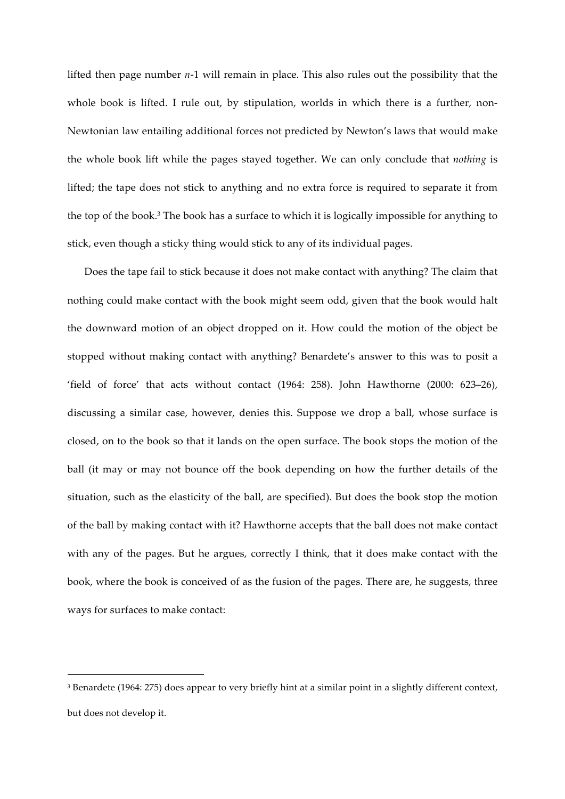lifted then page number *n*-1 will remain in place. This also rules out the possibility that the whole book is lifted. I rule out, by stipulation, worlds in which there is a further, non-Newtonian law entailing additional forces not predicted by Newton's laws that would make the whole book lift while the pages stayed together. We can only conclude that *nothing* is lifted; the tape does not stick to anything and no extra force is required to separate it from the top of the book.3 The book has a surface to which it is logically impossible for anything to stick, even though a sticky thing would stick to any of its individual pages.

Does the tape fail to stick because it does not make contact with anything? The claim that nothing could make contact with the book might seem odd, given that the book would halt the downward motion of an object dropped on it. How could the motion of the object be stopped without making contact with anything? Benardete's answer to this was to posit a 'field of force' that acts without contact (1964: 258). John Hawthorne (2000: 623–26), discussing a similar case, however, denies this. Suppose we drop a ball, whose surface is closed, on to the book so that it lands on the open surface. The book stops the motion of the ball (it may or may not bounce off the book depending on how the further details of the situation, such as the elasticity of the ball, are specified). But does the book stop the motion of the ball by making contact with it? Hawthorne accepts that the ball does not make contact with any of the pages. But he argues, correctly I think, that it does make contact with the book, where the book is conceived of as the fusion of the pages. There are, he suggests, three ways for surfaces to make contact:

 <sup>3</sup> Benardete (1964: 275) does appear to very briefly hint at a similar point in a slightly different context, but does not develop it.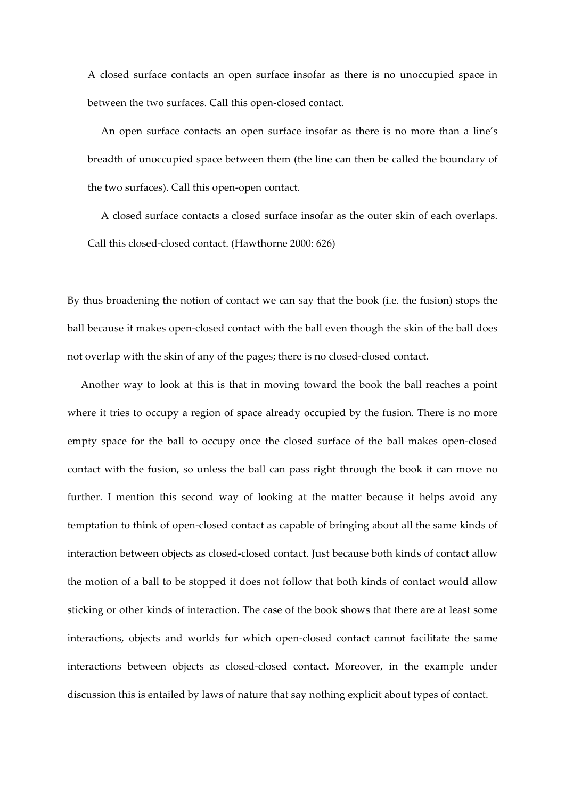A closed surface contacts an open surface insofar as there is no unoccupied space in between the two surfaces. Call this open-closed contact.

An open surface contacts an open surface insofar as there is no more than a line's breadth of unoccupied space between them (the line can then be called the boundary of the two surfaces). Call this open-open contact.

A closed surface contacts a closed surface insofar as the outer skin of each overlaps. Call this closed-closed contact. (Hawthorne 2000: 626)

By thus broadening the notion of contact we can say that the book (i.e. the fusion) stops the ball because it makes open-closed contact with the ball even though the skin of the ball does not overlap with the skin of any of the pages; there is no closed-closed contact.

Another way to look at this is that in moving toward the book the ball reaches a point where it tries to occupy a region of space already occupied by the fusion. There is no more empty space for the ball to occupy once the closed surface of the ball makes open-closed contact with the fusion, so unless the ball can pass right through the book it can move no further. I mention this second way of looking at the matter because it helps avoid any temptation to think of open-closed contact as capable of bringing about all the same kinds of interaction between objects as closed-closed contact. Just because both kinds of contact allow the motion of a ball to be stopped it does not follow that both kinds of contact would allow sticking or other kinds of interaction. The case of the book shows that there are at least some interactions, objects and worlds for which open-closed contact cannot facilitate the same interactions between objects as closed-closed contact. Moreover, in the example under discussion this is entailed by laws of nature that say nothing explicit about types of contact.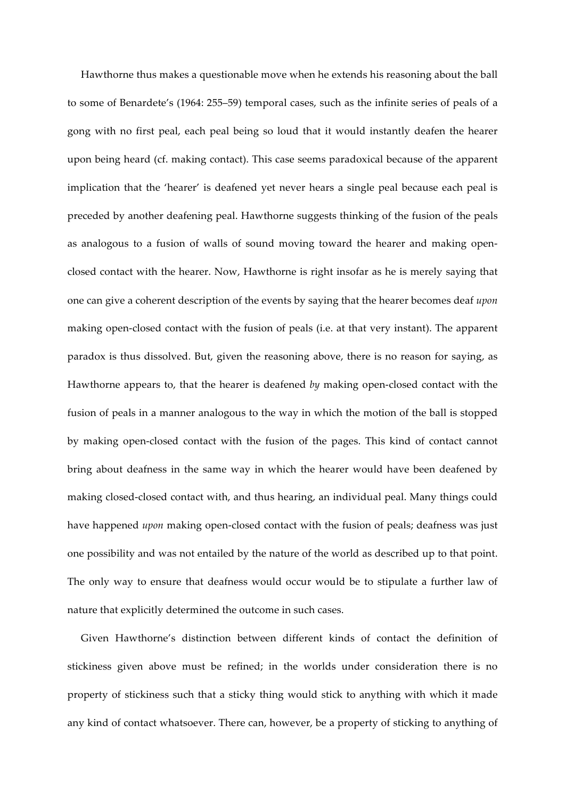Hawthorne thus makes a questionable move when he extends his reasoning about the ball to some of Benardete's (1964: 255–59) temporal cases, such as the infinite series of peals of a gong with no first peal, each peal being so loud that it would instantly deafen the hearer upon being heard (cf. making contact). This case seems paradoxical because of the apparent implication that the 'hearer' is deafened yet never hears a single peal because each peal is preceded by another deafening peal. Hawthorne suggests thinking of the fusion of the peals as analogous to a fusion of walls of sound moving toward the hearer and making openclosed contact with the hearer. Now, Hawthorne is right insofar as he is merely saying that one can give a coherent description of the events by saying that the hearer becomes deaf *upon* making open-closed contact with the fusion of peals (i.e. at that very instant). The apparent paradox is thus dissolved. But, given the reasoning above, there is no reason for saying, as Hawthorne appears to, that the hearer is deafened *by* making open-closed contact with the fusion of peals in a manner analogous to the way in which the motion of the ball is stopped by making open-closed contact with the fusion of the pages. This kind of contact cannot bring about deafness in the same way in which the hearer would have been deafened by making closed-closed contact with, and thus hearing, an individual peal. Many things could have happened *upon* making open-closed contact with the fusion of peals; deafness was just one possibility and was not entailed by the nature of the world as described up to that point. The only way to ensure that deafness would occur would be to stipulate a further law of nature that explicitly determined the outcome in such cases.

Given Hawthorne's distinction between different kinds of contact the definition of stickiness given above must be refined; in the worlds under consideration there is no property of stickiness such that a sticky thing would stick to anything with which it made any kind of contact whatsoever. There can, however, be a property of sticking to anything of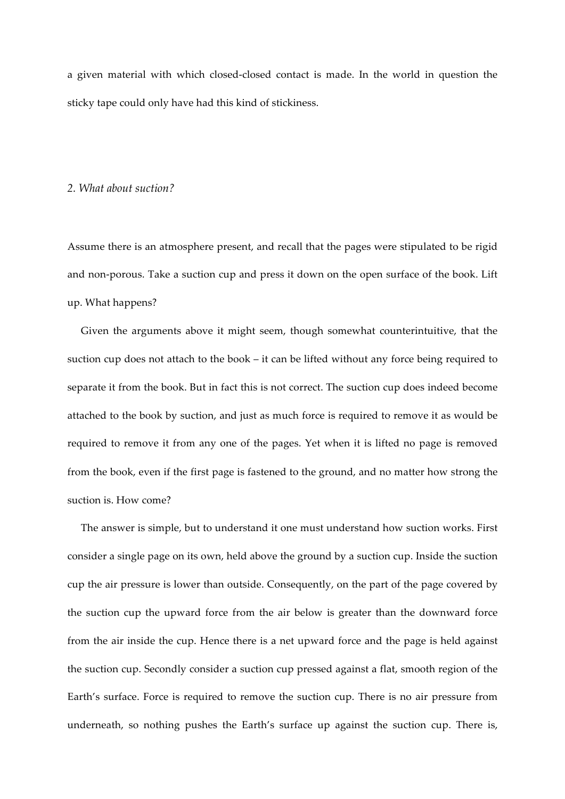a given material with which closed-closed contact is made. In the world in question the sticky tape could only have had this kind of stickiness.

### *2. What about suction?*

Assume there is an atmosphere present, and recall that the pages were stipulated to be rigid and non-porous. Take a suction cup and press it down on the open surface of the book. Lift up. What happens?

Given the arguments above it might seem, though somewhat counterintuitive, that the suction cup does not attach to the book – it can be lifted without any force being required to separate it from the book. But in fact this is not correct. The suction cup does indeed become attached to the book by suction, and just as much force is required to remove it as would be required to remove it from any one of the pages. Yet when it is lifted no page is removed from the book, even if the first page is fastened to the ground, and no matter how strong the suction is. How come?

The answer is simple, but to understand it one must understand how suction works. First consider a single page on its own, held above the ground by a suction cup. Inside the suction cup the air pressure is lower than outside. Consequently, on the part of the page covered by the suction cup the upward force from the air below is greater than the downward force from the air inside the cup. Hence there is a net upward force and the page is held against the suction cup. Secondly consider a suction cup pressed against a flat, smooth region of the Earth's surface. Force is required to remove the suction cup. There is no air pressure from underneath, so nothing pushes the Earth's surface up against the suction cup. There is,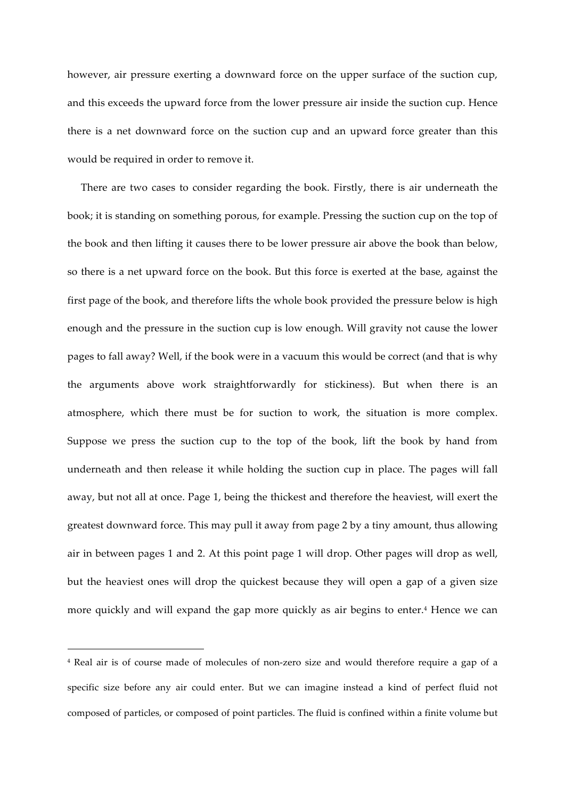however, air pressure exerting a downward force on the upper surface of the suction cup, and this exceeds the upward force from the lower pressure air inside the suction cup. Hence there is a net downward force on the suction cup and an upward force greater than this would be required in order to remove it.

There are two cases to consider regarding the book. Firstly, there is air underneath the book; it is standing on something porous, for example. Pressing the suction cup on the top of the book and then lifting it causes there to be lower pressure air above the book than below, so there is a net upward force on the book. But this force is exerted at the base, against the first page of the book, and therefore lifts the whole book provided the pressure below is high enough and the pressure in the suction cup is low enough. Will gravity not cause the lower pages to fall away? Well, if the book were in a vacuum this would be correct (and that is why the arguments above work straightforwardly for stickiness). But when there is an atmosphere, which there must be for suction to work, the situation is more complex. Suppose we press the suction cup to the top of the book, lift the book by hand from underneath and then release it while holding the suction cup in place. The pages will fall away, but not all at once. Page 1, being the thickest and therefore the heaviest, will exert the greatest downward force. This may pull it away from page 2 by a tiny amount, thus allowing air in between pages 1 and 2. At this point page 1 will drop. Other pages will drop as well, but the heaviest ones will drop the quickest because they will open a gap of a given size more quickly and will expand the gap more quickly as air begins to enter.<sup>4</sup> Hence we can

 $\overline{a}$ 

<sup>4</sup> Real air is of course made of molecules of non-zero size and would therefore require a gap of a specific size before any air could enter. But we can imagine instead a kind of perfect fluid not composed of particles, or composed of point particles. The fluid is confined within a finite volume but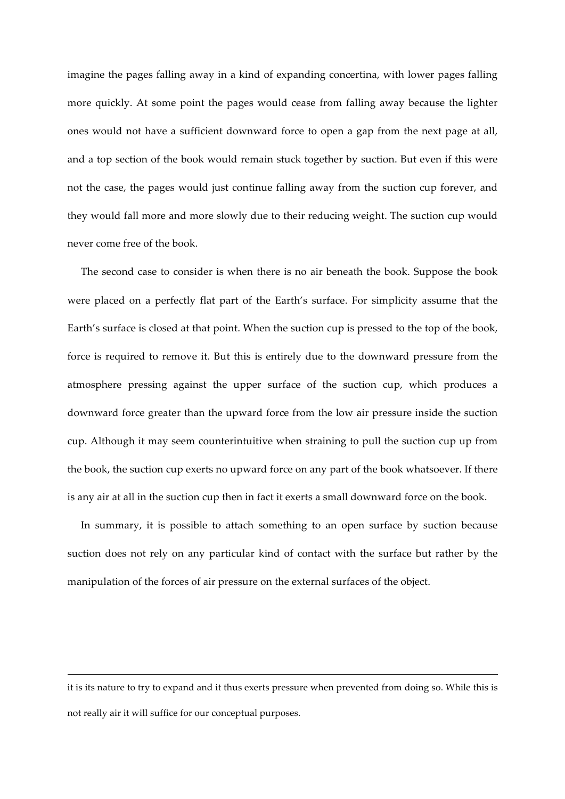imagine the pages falling away in a kind of expanding concertina, with lower pages falling more quickly. At some point the pages would cease from falling away because the lighter ones would not have a sufficient downward force to open a gap from the next page at all, and a top section of the book would remain stuck together by suction. But even if this were not the case, the pages would just continue falling away from the suction cup forever, and they would fall more and more slowly due to their reducing weight. The suction cup would never come free of the book.

The second case to consider is when there is no air beneath the book. Suppose the book were placed on a perfectly flat part of the Earth's surface. For simplicity assume that the Earth's surface is closed at that point. When the suction cup is pressed to the top of the book, force is required to remove it. But this is entirely due to the downward pressure from the atmosphere pressing against the upper surface of the suction cup, which produces a downward force greater than the upward force from the low air pressure inside the suction cup. Although it may seem counterintuitive when straining to pull the suction cup up from the book, the suction cup exerts no upward force on any part of the book whatsoever. If there is any air at all in the suction cup then in fact it exerts a small downward force on the book.

In summary, it is possible to attach something to an open surface by suction because suction does not rely on any particular kind of contact with the surface but rather by the manipulation of the forces of air pressure on the external surfaces of the object.

 $\overline{a}$ 

it is its nature to try to expand and it thus exerts pressure when prevented from doing so. While this is not really air it will suffice for our conceptual purposes.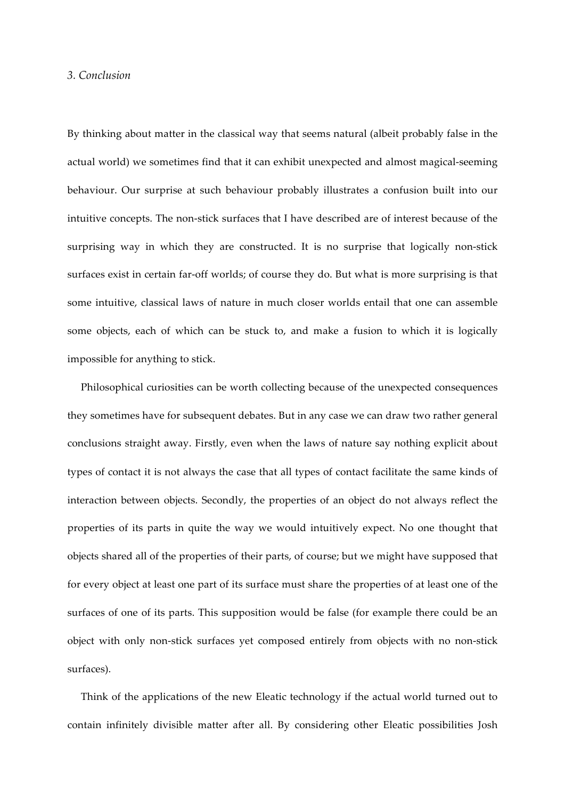## *3. Conclusion*

By thinking about matter in the classical way that seems natural (albeit probably false in the actual world) we sometimes find that it can exhibit unexpected and almost magical-seeming behaviour. Our surprise at such behaviour probably illustrates a confusion built into our intuitive concepts. The non-stick surfaces that I have described are of interest because of the surprising way in which they are constructed. It is no surprise that logically non-stick surfaces exist in certain far-off worlds; of course they do. But what is more surprising is that some intuitive, classical laws of nature in much closer worlds entail that one can assemble some objects, each of which can be stuck to, and make a fusion to which it is logically impossible for anything to stick.

Philosophical curiosities can be worth collecting because of the unexpected consequences they sometimes have for subsequent debates. But in any case we can draw two rather general conclusions straight away. Firstly, even when the laws of nature say nothing explicit about types of contact it is not always the case that all types of contact facilitate the same kinds of interaction between objects. Secondly, the properties of an object do not always reflect the properties of its parts in quite the way we would intuitively expect. No one thought that objects shared all of the properties of their parts, of course; but we might have supposed that for every object at least one part of its surface must share the properties of at least one of the surfaces of one of its parts. This supposition would be false (for example there could be an object with only non-stick surfaces yet composed entirely from objects with no non-stick surfaces).

Think of the applications of the new Eleatic technology if the actual world turned out to contain infinitely divisible matter after all. By considering other Eleatic possibilities Josh